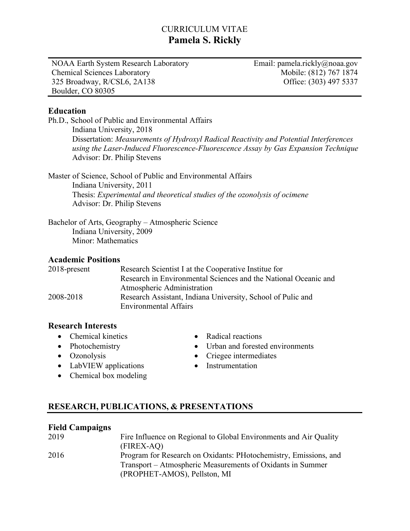# CURRICULUM VITAE **Pamela S. Rickly**

NOAA Earth System Research Laboratory Chemical Sciences Laboratory 325 Broadway, R/CSL6, 2A138 Boulder, CO 80305

Email: pamela.rickly@noaa.gov Mobile: (812) 767 1874 Office: (303) 497 5337

#### **Education**

Ph.D., School of Public and Environmental Affairs Indiana University, 2018 Dissertation: *Measurements of Hydroxyl Radical Reactivity and Potential Interferences using the Laser-Induced Fluorescence-Fluorescence Assay by Gas Expansion Technique* Advisor: Dr. Philip Stevens

Master of Science, School of Public and Environmental Affairs Indiana University, 2011 Thesis: *Experimental and theoretical studies of the ozonolysis of ocimene* Advisor: Dr. Philip Stevens

Bachelor of Arts, Geography – Atmospheric Science Indiana University, 2009 Minor: Mathematics

### **Academic Positions**

2018-present Research Scientist I at the Cooperative Institue for Research in Environmental Sciences and the National Oceanic and Atmospheric Administration 2008-2018 Research Assistant, Indiana University, School of Pulic and Environmental Affairs

### **Research Interests**

- Chemical kinetics
- Photochemistry
- Ozonolysis
- LabVIEW applications
- Radical reactions
- Urban and forested environments
- Criegee intermediates
- Instrumentation
- Chemical box modeling

# **RESEARCH, PUBLICATIONS, & PRESENTATIONS**

### **Field Campaigns**

| 2019 | Fire Influence on Regional to Global Environments and Air Quality |
|------|-------------------------------------------------------------------|
|      | (FIREX-AQ)                                                        |
| 2016 | Program for Research on Oxidants: PHotochemistry, Emissions, and  |
|      | Transport – Atmospheric Measurements of Oxidants in Summer        |
|      | (PROPHET-AMOS), Pellston, MI                                      |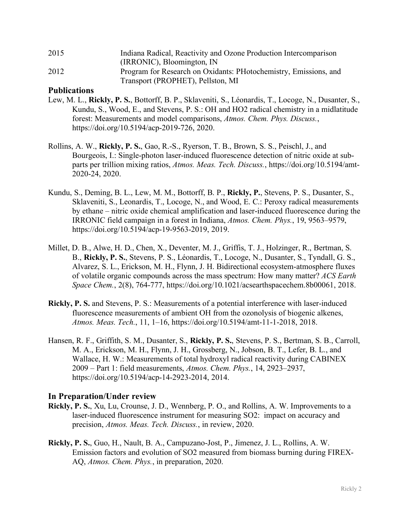| 2015 | Indiana Radical, Reactivity and Ozone Production Intercomparison |
|------|------------------------------------------------------------------|
|      | (IRRONIC), Bloomington, IN                                       |
| 2012 | Program for Research on Oxidants: PHotochemistry, Emissions, and |
|      | Transport (PROPHET), Pellston, MI                                |

#### **Publications**

- Lew, M. L., **Rickly, P. S.**, Bottorff, B. P., Sklaveniti, S., Léonardis, T., Locoge, N., Dusanter, S., Kundu, S., Wood, E., and Stevens, P. S.: OH and HO2 radical chemistry in a midlatitude forest: Measurements and model comparisons, *Atmos. Chem. Phys. Discuss.*, https://doi.org/10.5194/acp-2019-726, 2020.
- Rollins, A. W., **Rickly, P. S.**, Gao, R.-S., Ryerson, T. B., Brown, S. S., Peischl, J., and Bourgeois, I.: Single-photon laser-induced fluorescence detection of nitric oxide at subparts per trillion mixing ratios, *Atmos. Meas. Tech. Discuss.*, https://doi.org/10.5194/amt-2020-24, 2020.
- Kundu, S., Deming, B. L., Lew, M. M., Bottorff, B. P., **Rickly, P.**, Stevens, P. S., Dusanter, S., Sklaveniti, S., Leonardis, T., Locoge, N., and Wood, E. C.: Peroxy radical measurements by ethane – nitric oxide chemical amplification and laser-induced fluorescence during the IRRONIC field campaign in a forest in Indiana, *Atmos. Chem. Phys.*, 19, 9563–9579, https://doi.org/10.5194/acp-19-9563-2019, 2019.
- Millet, D. B., Alwe, H. D., Chen, X., Deventer, M. J., Griffis, T. J., Holzinger, R., Bertman, S. B., **Rickly, P. S.**, Stevens, P. S., Léonardis, T., Locoge, N., Dusanter, S., Tyndall, G. S., Alvarez, S. L., Erickson, M. H., Flynn, J. H. Bidirectional ecosystem-atmosphere fluxes of volatile organic compounds across the mass spectrum: How many matter? *ACS Earth Space Chem.*, 2(8), 764-777, https://doi.org/10.1021/acsearthspacechem.8b00061, 2018.
- **Rickly, P. S.** and Stevens, P. S.: Measurements of a potential interference with laser-induced fluorescence measurements of ambient OH from the ozonolysis of biogenic alkenes, *Atmos. Meas. Tech.*, 11, 1–16, https://doi.org/10.5194/amt-11-1-2018, 2018.
- Hansen, R. F., Griffith, S. M., Dusanter, S., **Rickly, P. S.**, Stevens, P. S., Bertman, S. B., Carroll, M. A., Erickson, M. H., Flynn, J. H., Grossberg, N., Jobson, B. T., Lefer, B. L., and Wallace, H. W.: Measurements of total hydroxyl radical reactivity during CABINEX 2009 – Part 1: field measurements, *Atmos. Chem. Phys.*, 14, 2923–2937, https://doi.org/10.5194/acp-14-2923-2014, 2014.

#### **In Preparation/Under review**

- **Rickly, P. S.**, Xu, Lu, Crounse, J. D., Wennberg, P. O., and Rollins, A. W. Improvements to a laser-induced fluorescence instrument for measuring SO2: impact on accuracy and precision, *Atmos. Meas. Tech. Discuss.*, in review, 2020.
- **Rickly, P. S.**, Guo, H., Nault, B. A., Campuzano-Jost, P., Jimenez, J. L., Rollins, A. W. Emission factors and evolution of SO2 measured from biomass burning during FIREX-AQ, *Atmos. Chem. Phys.*, in preparation, 2020.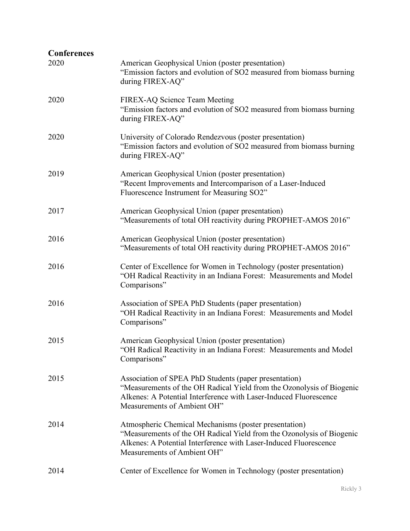| <b>Conferences</b> |                                                                                                                                                                                                                                    |
|--------------------|------------------------------------------------------------------------------------------------------------------------------------------------------------------------------------------------------------------------------------|
| 2020               | American Geophysical Union (poster presentation)<br>"Emission factors and evolution of SO2 measured from biomass burning<br>during FIREX-AQ"                                                                                       |
| 2020               | FIREX-AQ Science Team Meeting<br>"Emission factors and evolution of SO2 measured from biomass burning<br>during FIREX-AQ"                                                                                                          |
| 2020               | University of Colorado Rendezvous (poster presentation)<br>"Emission factors and evolution of SO2 measured from biomass burning<br>during FIREX-AQ"                                                                                |
| 2019               | American Geophysical Union (poster presentation)<br>"Recent Improvements and Intercomparison of a Laser-Induced<br>Fluorescence Instrument for Measuring SO2"                                                                      |
| 2017               | American Geophysical Union (paper presentation)<br>"Measurements of total OH reactivity during PROPHET-AMOS 2016"                                                                                                                  |
| 2016               | American Geophysical Union (poster presentation)<br>"Measurements of total OH reactivity during PROPHET-AMOS 2016"                                                                                                                 |
| 2016               | Center of Excellence for Women in Technology (poster presentation)<br>"OH Radical Reactivity in an Indiana Forest: Measurements and Model<br>Comparisons"                                                                          |
| 2016               | Association of SPEA PhD Students (paper presentation)<br>"OH Radical Reactivity in an Indiana Forest: Measurements and Model<br>Comparisons"                                                                                       |
| 2015               | American Geophysical Union (poster presentation)<br>"OH Radical Reactivity in an Indiana Forest: Measurements and Model<br>Comparisons"                                                                                            |
| 2015               | Association of SPEA PhD Students (paper presentation)<br>"Measurements of the OH Radical Yield from the Ozonolysis of Biogenic<br>Alkenes: A Potential Interference with Laser-Induced Fluorescence<br>Measurements of Ambient OH" |
| 2014               | Atmospheric Chemical Mechanisms (poster presentation)<br>"Measurements of the OH Radical Yield from the Ozonolysis of Biogenic<br>Alkenes: A Potential Interference with Laser-Induced Fluorescence<br>Measurements of Ambient OH" |
| 2014               | Center of Excellence for Women in Technology (poster presentation)                                                                                                                                                                 |